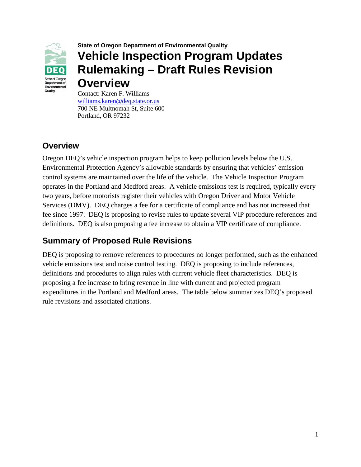

## **State of Oregon Department of Environmental Quality Vehicle Inspection Program Updates Rulemaking – Draft Rules Revision Overview**

Contact: Karen F. Williams [williams.karen@deq.state.or.us](mailto:Sakata.rachel@deq.state.or.us) 700 NE Multnomah St, Suite 600 Portland, OR 97232

## **Overview**

Oregon DEQ's vehicle inspection program helps to keep pollution levels below the U.S. Environmental Protection Agency's allowable standards by ensuring that vehicles' emission control systems are maintained over the life of the vehicle. The Vehicle Inspection Program operates in the Portland and Medford areas. A vehicle emissions test is required, typically every two years, before motorists register their vehicles with Oregon Driver and Motor Vehicle Services (DMV). DEQ charges a fee for a certificate of compliance and has not increased that fee since 1997. DEQ is proposing to revise rules to update several VIP procedure references and definitions. DEQ is also proposing a fee increase to obtain a VIP certificate of compliance.

## **Summary of Proposed Rule Revisions**

DEQ is proposing to remove references to procedures no longer performed, such as the enhanced vehicle emissions test and noise control testing. DEQ is proposing to include references, definitions and procedures to align rules with current vehicle fleet characteristics. DEQ is proposing a fee increase to bring revenue in line with current and projected program expenditures in the Portland and Medford areas. The table below summarizes DEQ's proposed rule revisions and associated citations.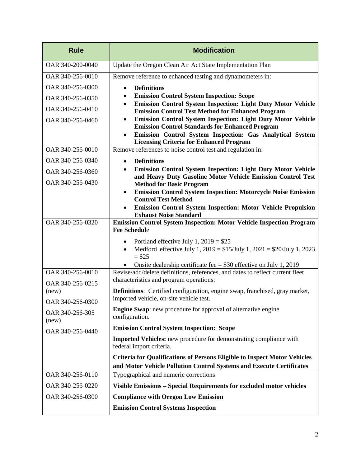| <b>Rule</b>               | <b>Modification</b>                                                                                                                        |
|---------------------------|--------------------------------------------------------------------------------------------------------------------------------------------|
| OAR 340-200-0040          | Update the Oregon Clean Air Act State Implementation Plan                                                                                  |
| OAR 340-256-0010          | Remove reference to enhanced testing and dynamometers in:                                                                                  |
| OAR 340-256-0300          | <b>Definitions</b><br>$\bullet$                                                                                                            |
| OAR 340-256-0350          | <b>Emission Control System Inspection: Scope</b><br>$\bullet$<br>Emission Control System Inspection: Light Duty Motor Vehicle<br>$\bullet$ |
| OAR 340-256-0410          | <b>Emission Control Test Method for Enhanced Program</b>                                                                                   |
| OAR 340-256-0460          | Emission Control System Inspection: Light Duty Motor Vehicle<br>$\bullet$<br><b>Emission Control Standards for Enhanced Program</b>        |
|                           | Emission Control System Inspection: Gas Analytical System<br>$\bullet$                                                                     |
| OAR 340-256-0010          | <b>Licensing Criteria for Enhanced Program</b><br>Remove references to noise control test and regulation in:                               |
| OAR 340-256-0340          |                                                                                                                                            |
| OAR 340-256-0360          | <b>Definitions</b><br>$\bullet$<br><b>Emission Control System Inspection: Light Duty Motor Vehicle</b><br>$\bullet$                        |
| OAR 340-256-0430          | and Heavy Duty Gasoline Motor Vehicle Emission Control Test                                                                                |
|                           | <b>Method for Basic Program</b><br><b>Emission Control System Inspection: Motorcycle Noise Emission</b><br>$\bullet$                       |
|                           | <b>Control Test Method</b>                                                                                                                 |
|                           | <b>Emission Control System Inspection: Motor Vehicle Propulsion</b><br><b>Exhaust Noise Standard</b>                                       |
| OAR 340-256-0320          | <b>Emission Control System Inspection: Motor Vehicle Inspection Program</b>                                                                |
|                           | <b>Fee Schedule</b>                                                                                                                        |
|                           | Portland effective July 1, $2019 = $25$<br>$\bullet$<br>Medford effective July 1, $2019 = $15/July 1$ , $2021 = $20/July 1$ , $2023$       |
|                           | $= $25$                                                                                                                                    |
| OAR 340-256-0010          | Onsite dealership certificate fee = $$30$ effective on July 1, 2019                                                                        |
|                           | Revise/add/delete definitions, references, and dates to reflect current fleet<br>characteristics and program operations:                   |
| OAR 340-256-0215<br>(new) | <b>Definitions:</b> Certified configuration, engine swap, franchised, gray market,                                                         |
| OAR 340-256-0300          | imported vehicle, on-site vehicle test.                                                                                                    |
| OAR 340-256-305           | <b>Engine Swap:</b> new procedure for approval of alternative engine                                                                       |
| (new)                     | configuration.<br><b>Emission Control System Inspection: Scope</b>                                                                         |
| OAR 340-256-0440          |                                                                                                                                            |
|                           | <b>Imported Vehicles:</b> new procedure for demonstrating compliance with<br>federal import criteria.                                      |
|                           | <b>Criteria for Qualifications of Persons Eligible to Inspect Motor Vehicles</b>                                                           |
|                           | and Motor Vehicle Pollution Control Systems and Execute Certificates                                                                       |
| OAR 340-256-0110          | Typographical and numeric corrections                                                                                                      |
| OAR 340-256-0220          | Visible Emissions - Special Requirements for excluded motor vehicles                                                                       |
| OAR 340-256-0300          | <b>Compliance with Oregon Low Emission</b>                                                                                                 |
|                           | <b>Emission Control Systems Inspection</b>                                                                                                 |